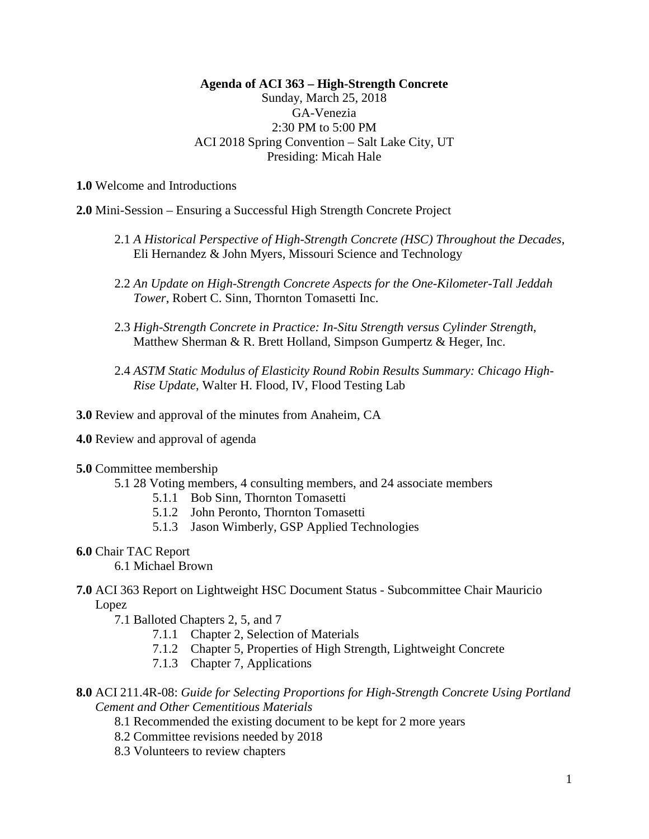# **Agenda of ACI 363 – High-Strength Concrete**

# Sunday, March 25, 2018 GA-Venezia 2:30 PM to 5:00 PM ACI 2018 Spring Convention – Salt Lake City, UT Presiding: Micah Hale

**1.0** Welcome and Introductions

**2.0** Mini-Session – Ensuring a Successful High Strength Concrete Project

- 2.1 *A Historical Perspective of High-Strength Concrete (HSC) Throughout the Decades*, Eli Hernandez & John Myers, Missouri Science and Technology
- 2.2 *An Update on High-Strength Concrete Aspects for the One-Kilometer-Tall Jeddah Tower*, Robert C. Sinn, Thornton Tomasetti Inc.
- 2.3 *High-Strength Concrete in Practice: In-Situ Strength versus Cylinder Strength*, Matthew Sherman & R. Brett Holland, Simpson Gumpertz & Heger, Inc.
- 2.4 *ASTM Static Modulus of Elasticity Round Robin Results Summary: Chicago High-Rise Update*, Walter H. Flood, IV, Flood Testing Lab

**3.0** Review and approval of the minutes from Anaheim, CA

**4.0** Review and approval of agenda

## **5.0** Committee membership

- 5.1 28 Voting members, 4 consulting members, and 24 associate members
	- 5.1.1 Bob Sinn, Thornton Tomasetti
	- 5.1.2 John Peronto, Thornton Tomasetti
	- 5.1.3 Jason Wimberly, GSP Applied Technologies

#### **6.0** Chair TAC Report

6.1 Michael Brown

**7.0** ACI 363 Report on Lightweight HSC Document Status - Subcommittee Chair Mauricio Lopez

7.1 Balloted Chapters 2, 5, and 7

- 7.1.1 Chapter 2, Selection of Materials
- 7.1.2 Chapter 5, Properties of High Strength, Lightweight Concrete
- 7.1.3 Chapter 7, Applications
- **8.0** ACI 211.4R-08: *Guide for Selecting Proportions for High-Strength Concrete Using Portland Cement and Other Cementitious Materials*
	- 8.1 Recommended the existing document to be kept for 2 more years
	- 8.2 Committee revisions needed by 2018
	- 8.3 Volunteers to review chapters